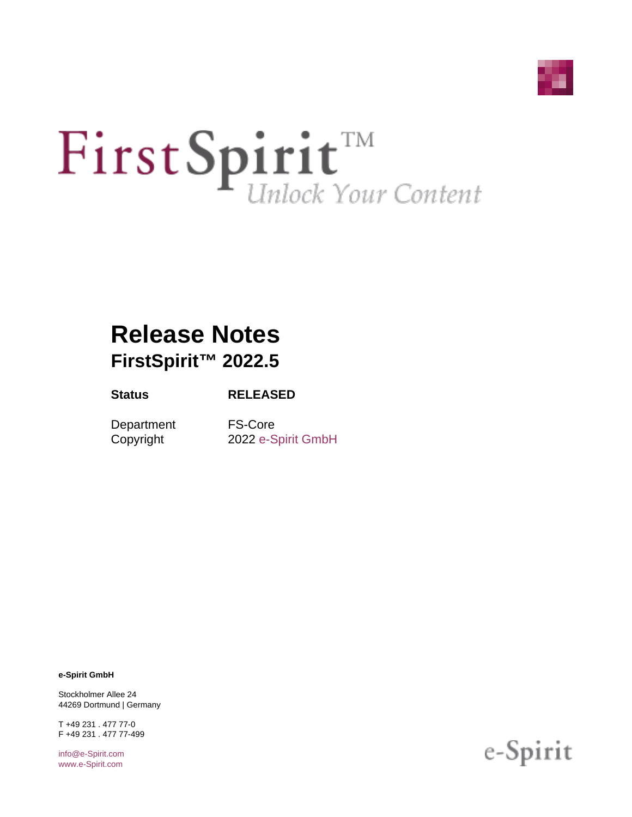

# First Spirit<sup>TM</sup>

# **Release Notes FirstSpirit™ 2022.5**

#### **Status RELEASED**

Department FS-Core

Copyright 2022 [e-Spirit GmbH](http://www.e-Spirit.com)

**e-Spirit GmbH**

Stockholmer Allee 24 44269 Dortmund | Germany

T +49 231 . 477 77-0 F +49 231 . 477 77-499

[info@e-Spirit.com](mailto:info@e-Spirit.com) [www.e-Spirit.com](http://www.e-Spirit.com)

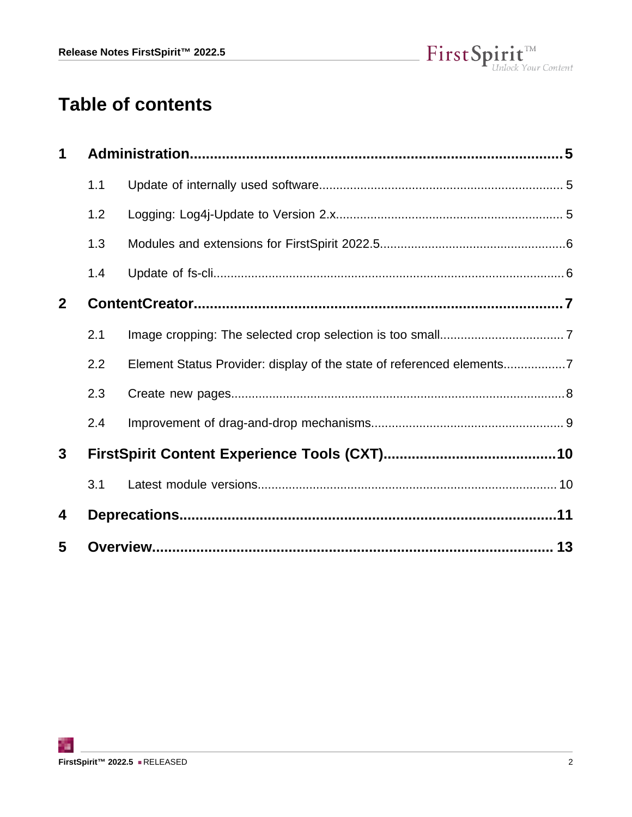

# **Table of contents**

| 1            |     |                                                                       |  |
|--------------|-----|-----------------------------------------------------------------------|--|
|              | 1.1 |                                                                       |  |
|              | 1.2 |                                                                       |  |
|              | 1.3 |                                                                       |  |
|              | 1.4 |                                                                       |  |
| $\mathbf{2}$ |     |                                                                       |  |
|              | 2.1 |                                                                       |  |
|              | 2.2 | Element Status Provider: display of the state of referenced elements7 |  |
|              | 2.3 |                                                                       |  |
|              | 2.4 |                                                                       |  |
| $\mathbf{3}$ |     |                                                                       |  |
|              | 3.1 |                                                                       |  |
| 4            |     |                                                                       |  |
| 5            |     |                                                                       |  |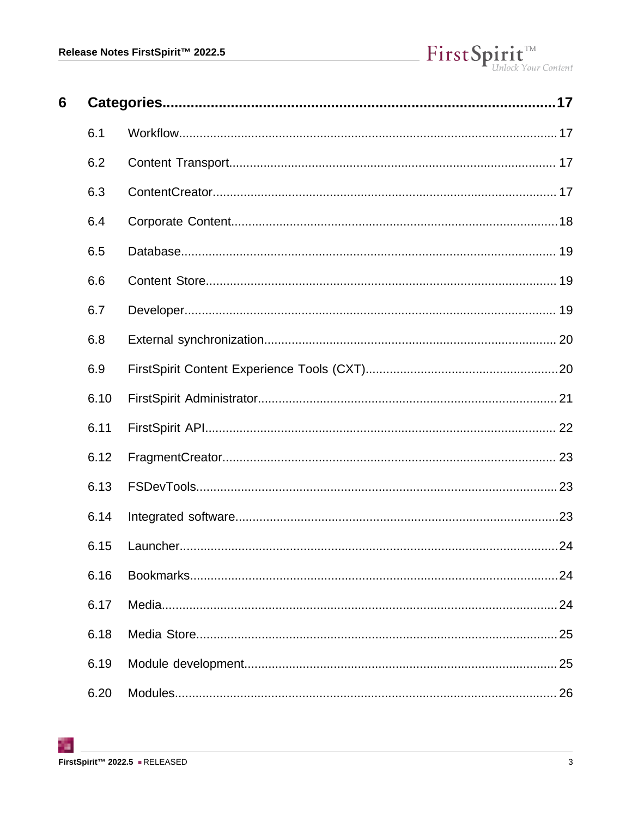# $\label{eq: 3.1} First \textbf{Split}_{\textit{Unlock Your Content}}^{\textit{TM}}$

| 6 |      |    |
|---|------|----|
|   | 6.1  |    |
|   | 6.2  |    |
|   | 6.3  |    |
|   | 6.4  |    |
|   | 6.5  |    |
|   | 6.6  |    |
|   | 6.7  |    |
|   | 6.8  |    |
|   | 6.9  |    |
|   | 6.10 |    |
|   | 6.11 |    |
|   | 6.12 |    |
|   | 6.13 |    |
|   | 6.14 |    |
|   | 6.15 |    |
|   | 6.16 |    |
|   | 6.17 |    |
|   | 6.18 |    |
|   | 6.19 |    |
|   | 6.20 | 26 |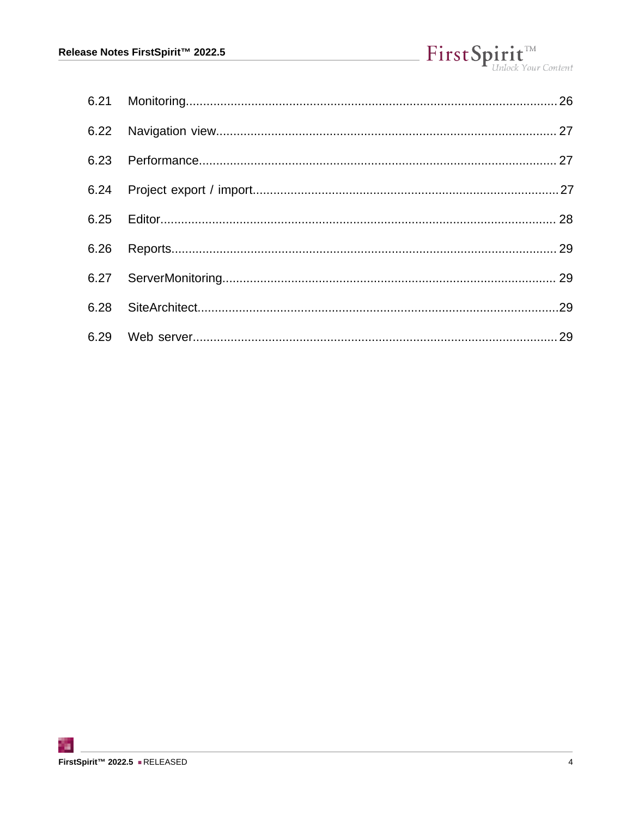| 6.26 |  |
|------|--|
|      |  |
|      |  |
|      |  |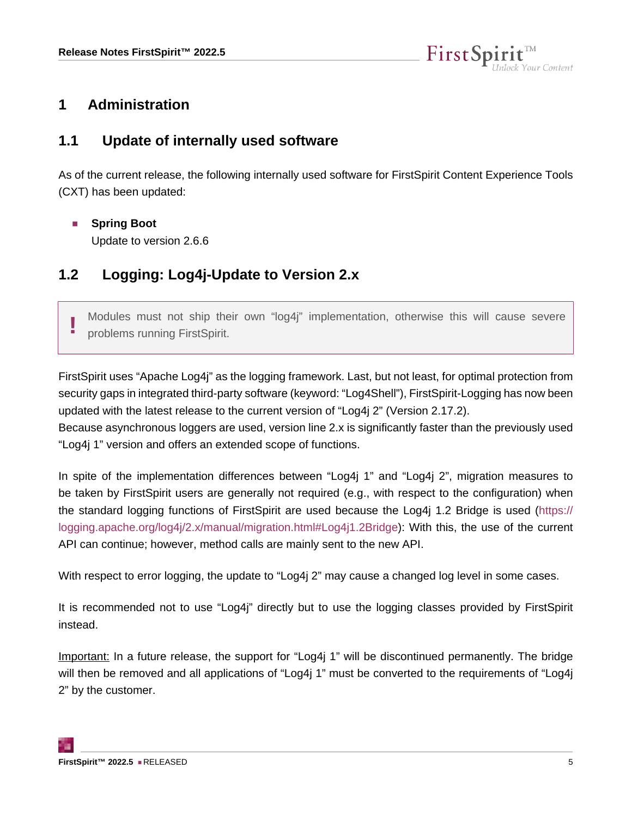

#### <span id="page-4-0"></span>**1 Administration**

#### <span id="page-4-1"></span>**1.1 Update of internally used software**

As of the current release, the following internally used software for FirstSpirit Content Experience Tools (CXT) has been updated:

■ **Spring Boot** 

Update to version 2.6.6

#### <span id="page-4-2"></span>**1.2 Logging: Log4j-Update to Version 2.x**

**!** Modules must not ship their own "log4j" implementation, otherwise this will cause severe problems running FirstSpirit.

FirstSpirit uses "Apache Log4j" as the logging framework. Last, but not least, for optimal protection from security gaps in integrated third-party software (keyword: "Log4Shell"), FirstSpirit-Logging has now been updated with the latest release to the current version of "Log4j 2" (Version 2.17.2).

Because asynchronous loggers are used, version line 2.x is significantly faster than the previously used "Log4j 1" version and offers an extended scope of functions.

In spite of the implementation differences between "Log4j 1" and "Log4j 2", migration measures to be taken by FirstSpirit users are generally not required (e.g., with respect to the configuration) when the standard logging functions of FirstSpirit are used because the Log4j 1.2 Bridge is used [\(https://](https://logging.apache.org/log4j/2.x/manual/migration.html#Log4j1.2Bridge) [logging.apache.org/log4j/2.x/manual/migration.html#Log4j1.2Bridge\)](https://logging.apache.org/log4j/2.x/manual/migration.html#Log4j1.2Bridge): With this, the use of the current API can continue; however, method calls are mainly sent to the new API.

With respect to error logging, the update to "Log4j 2" may cause a changed log level in some cases.

It is recommended not to use "Log4j" directly but to use the logging classes provided by FirstSpirit instead.

Important: In a future release, the support for "Log4j 1" will be discontinued permanently. The bridge will then be removed and all applications of "Log4j 1" must be converted to the requirements of "Log4j 2" by the customer.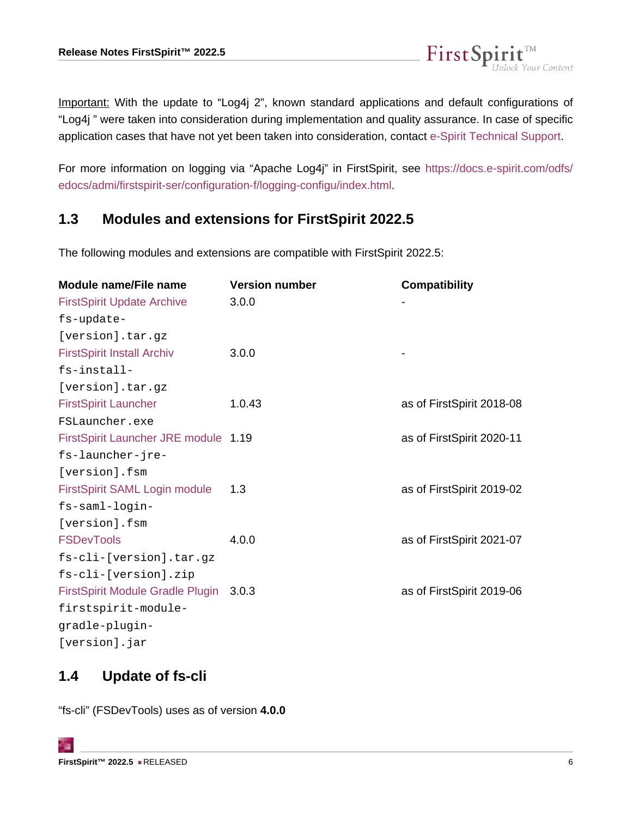Important: With the update to "Log4j 2", known standard applications and default configurations of "Log4j " were taken into consideration during implementation and quality assurance. In case of specific application cases that have not yet been taken into consideration, contact [e-Spirit Technical Support](https://help.e-spirit.com).

FirstSpi

k Your Content

For more information on logging via "Apache Log4j" in FirstSpirit, see [https://docs.e-spirit.com/odfs/](https://docs.e-spirit.com/odfs/edocs/admi/firstspirit-ser/configuration-f/logging-configu/index.html) [edocs/admi/firstspirit-ser/configuration-f/logging-configu/index.html](https://docs.e-spirit.com/odfs/edocs/admi/firstspirit-ser/configuration-f/logging-configu/index.html).

#### <span id="page-5-0"></span>**1.3 Modules and extensions for FirstSpirit 2022.5**

The following modules and extensions are compatible with FirstSpirit 2022.5:

| <b>Module name/File name</b>            | <b>Version number</b> | <b>Compatibility</b>      |
|-----------------------------------------|-----------------------|---------------------------|
| <b>FirstSpirit Update Archive</b>       | 3.0.0                 |                           |
| fs-update-                              |                       |                           |
| [version].tar.gz                        |                       |                           |
| <b>FirstSpirit Install Archiv</b>       | 3.0.0                 |                           |
| fs-install-                             |                       |                           |
| [version].tar.gz                        |                       |                           |
| <b>FirstSpirit Launcher</b>             | 1.0.43                | as of FirstSpirit 2018-08 |
| FSLauncher.exe                          |                       |                           |
| FirstSpirit Launcher JRE module 1.19    |                       | as of FirstSpirit 2020-11 |
| fs-launcher-jre-                        |                       |                           |
| [version].fsm                           |                       |                           |
| FirstSpirit SAML Login module           | 1.3                   | as of FirstSpirit 2019-02 |
| fs-saml-login-                          |                       |                           |
| [version].fsm                           |                       |                           |
| <b>FSDevTools</b>                       | 4.0.0                 | as of FirstSpirit 2021-07 |
| fs-cli-[version].tar.gz                 |                       |                           |
| fs-cli-[version].zip                    |                       |                           |
| <b>FirstSpirit Module Gradle Plugin</b> | 3.0.3                 | as of FirstSpirit 2019-06 |
| firstspirit-module-                     |                       |                           |
| gradle-plugin-                          |                       |                           |
| [version].jar                           |                       |                           |

#### <span id="page-5-1"></span>**1.4 Update of fs-cli**

"fs-cli" (FSDevTools) uses as of version **4.0.0**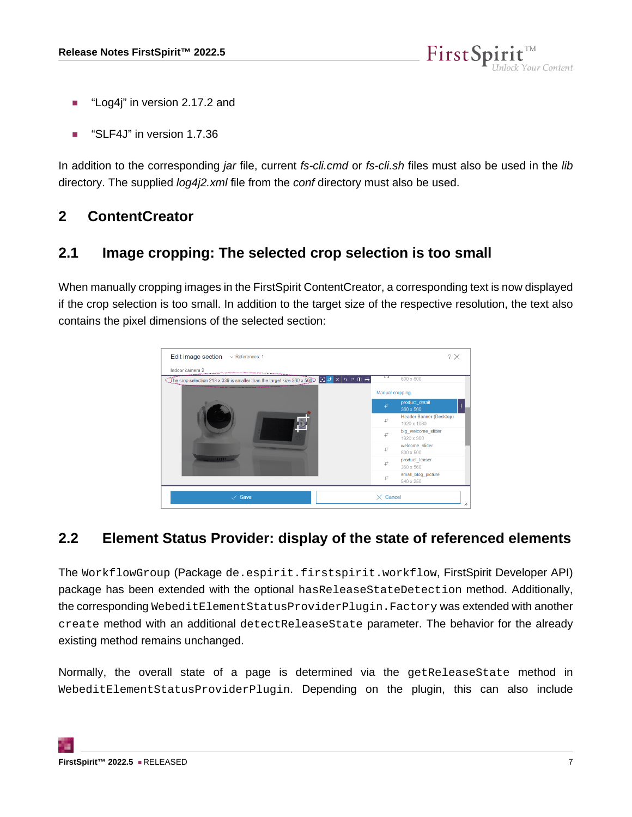

- "Log4j" in version 2.17.2 and
- "SLF4J" in version 1.7.36

In addition to the corresponding *jar* file, current *fs-cli.cmd* or *fs-cli.sh* files must also be used in the *lib* directory. The supplied *log4i2.xml* file from the *conf* directory must also be used.

#### <span id="page-6-0"></span>**2 ContentCreator**

#### <span id="page-6-1"></span>**2.1 Image cropping: The selected crop selection is too small**

When manually cropping images in the FirstSpirit ContentCreator, a corresponding text is now displayed if the crop selection is too small. In addition to the target size of the respective resolution, the text also contains the pixel dimensions of the selected section:



#### <span id="page-6-2"></span>**2.2 Element Status Provider: display of the state of referenced elements**

The WorkflowGroup (Package de.espirit.firstspirit.workflow, FirstSpirit Developer API) package has been extended with the optional hasReleaseStateDetection method. Additionally, the corresponding WebeditElementStatusProviderPlugin.Factory was extended with another create method with an additional detectReleaseState parameter. The behavior for the already existing method remains unchanged.

Normally, the overall state of a page is determined via the getReleaseState method in WebeditElementStatusProviderPlugin. Depending on the plugin, this can also include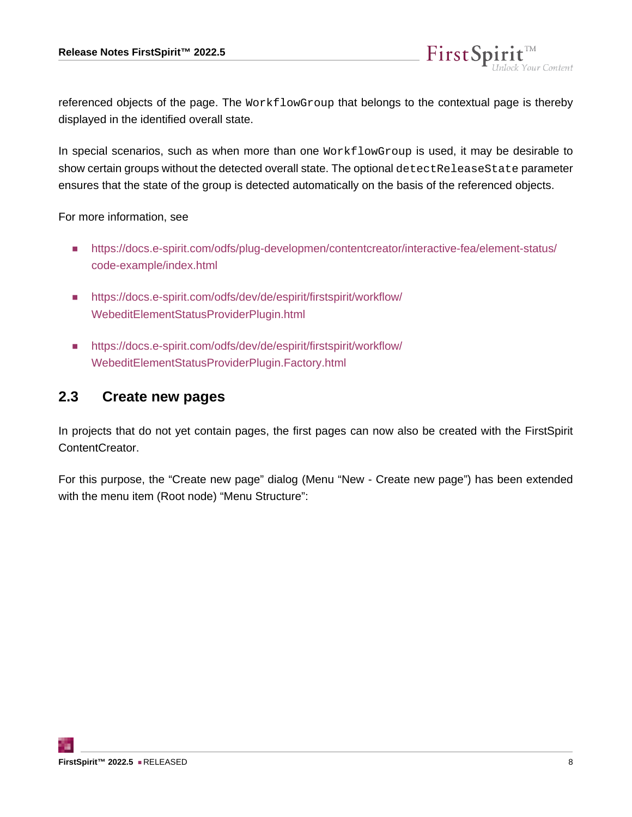referenced objects of the page. The WorkflowGroup that belongs to the contextual page is thereby displayed in the identified overall state.

FirstSp

In special scenarios, such as when more than one WorkflowGroup is used, it may be desirable to show certain groups without the detected overall state. The optional detect ReleaseState parameter ensures that the state of the group is detected automatically on the basis of the referenced objects.

For more information, see

- [https://docs.e-spirit.com/odfs/plug-developmen/contentcreator/interactive-fea/element-status/](https://docs.e-spirit.com/odfs/plug-developmen/contentcreator/interactive-fea/element-status/code-example/index.html) [code-example/index.html](https://docs.e-spirit.com/odfs/plug-developmen/contentcreator/interactive-fea/element-status/code-example/index.html)
- [https://docs.e-spirit.com/odfs/dev/de/espirit/firstspirit/workflow/](https://docs.e-spirit.com/odfs/dev/de/espirit/firstspirit/workflow/WebeditElementStatusProviderPlugin.html) [WebeditElementStatusProviderPlugin.html](https://docs.e-spirit.com/odfs/dev/de/espirit/firstspirit/workflow/WebeditElementStatusProviderPlugin.html)
- [https://docs.e-spirit.com/odfs/dev/de/espirit/firstspirit/workflow/](https://docs.e-spirit.com/odfs/dev/de/espirit/firstspirit/workflow/WebeditElementStatusProviderPlugin.Factory.html) [WebeditElementStatusProviderPlugin.Factory.html](https://docs.e-spirit.com/odfs/dev/de/espirit/firstspirit/workflow/WebeditElementStatusProviderPlugin.Factory.html)

#### <span id="page-7-0"></span>**2.3 Create new pages**

In projects that do not yet contain pages, the first pages can now also be created with the FirstSpirit ContentCreator.

For this purpose, the "Create new page" dialog (Menu "New - Create new page") has been extended with the menu item (Root node) "Menu Structure":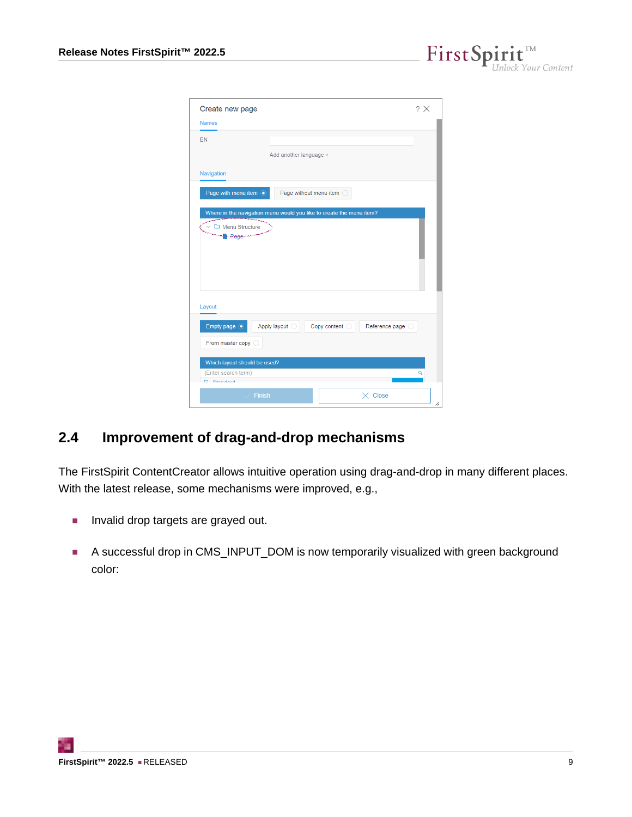$FirstSplit_{\textit{Unlock Your Content}}^{\textit{TM}}$ 

| Create new page                                                      |                        |                          |                  | $? \times$ |
|----------------------------------------------------------------------|------------------------|--------------------------|------------------|------------|
| <b>Names</b>                                                         |                        |                          |                  |            |
| <b>FN</b>                                                            |                        |                          |                  |            |
|                                                                      | Add another language + |                          |                  |            |
| Navigation                                                           |                        |                          |                  |            |
| Page with menu item .                                                |                        | Page without menu item O |                  |            |
| Where in the navigation menu would you like to create the menu item? |                        |                          |                  |            |
| Menu Structure<br><b>Propage</b> more                                |                        |                          |                  |            |
| Layout                                                               |                        |                          |                  |            |
| Empty page $\odot$                                                   | Apply layout O         | Copy content O           | Reference page O |            |
| From master copy O                                                   |                        |                          |                  |            |
| Which layout should be used?                                         |                        |                          |                  |            |
| (Enter search term)<br><b>Clondord</b>                               |                        |                          |                  | Q          |
| <b>Finish</b>                                                        |                        |                          | $\times$ Close   | z.         |

#### <span id="page-8-0"></span>**2.4 Improvement of drag-and-drop mechanisms**

The FirstSpirit ContentCreator allows intuitive operation using drag-and-drop in many different places. With the latest release, some mechanisms were improved, e.g.,

- Invalid drop targets are grayed out.
- A successful drop in CMS\_INPUT\_DOM is now temporarily visualized with green background color: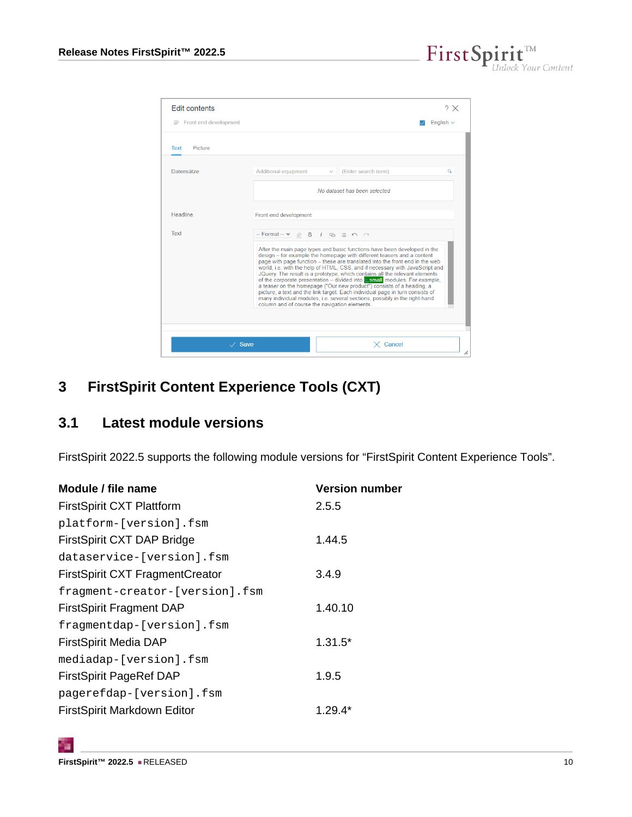$\textbf{FirstSplit}_{\textit{Unlock Your Content}}^{\textit{TM}}$ 

| <b>Edit contents</b>           |                                                                                         |              |                                                                                                                                                                                                                                                                                                                                                                                                                                                                                                                                                                                                                                                                                                                                       | ? X            |
|--------------------------------|-----------------------------------------------------------------------------------------|--------------|---------------------------------------------------------------------------------------------------------------------------------------------------------------------------------------------------------------------------------------------------------------------------------------------------------------------------------------------------------------------------------------------------------------------------------------------------------------------------------------------------------------------------------------------------------------------------------------------------------------------------------------------------------------------------------------------------------------------------------------|----------------|
| $\equiv$ Front end development |                                                                                         |              |                                                                                                                                                                                                                                                                                                                                                                                                                                                                                                                                                                                                                                                                                                                                       | English $\sim$ |
| <b>Picture</b><br>Text         |                                                                                         |              |                                                                                                                                                                                                                                                                                                                                                                                                                                                                                                                                                                                                                                                                                                                                       |                |
| Datensätze                     | Additional equipment                                                                    | $\checkmark$ | (Enter search term)                                                                                                                                                                                                                                                                                                                                                                                                                                                                                                                                                                                                                                                                                                                   | Q              |
|                                |                                                                                         |              | No dataset has been selected                                                                                                                                                                                                                                                                                                                                                                                                                                                                                                                                                                                                                                                                                                          |                |
| <b>Headline</b>                | Front end development                                                                   |              |                                                                                                                                                                                                                                                                                                                                                                                                                                                                                                                                                                                                                                                                                                                                       |                |
| Text                           | $-Format - \vee \circledcirc \circledcirc B$ / $\circledcirc \circledcirc \circledcirc$ |              |                                                                                                                                                                                                                                                                                                                                                                                                                                                                                                                                                                                                                                                                                                                                       |                |
|                                | column and of course the navigation elements.                                           |              | After the main page types and basic functions have been developed in the<br>design - for example the homepage with different teasers and a content<br>page with page function – these are translated into the front end in the web<br>world, i.e. with the help of HTML, CSS, and if necessary with JavaScript and<br>JQuery. The result is a prototype, which contains all the relevant elements<br>of the corporate presentation – divided into $\frac{1}{2}$ , small modules. For example,<br>a teaser on the homepage ("Our new product") consists of a heading, a<br>picture, a text and the link target. Each individual page in turn consists of<br>many individual modules, i.e. several sections, possibly in the right-hand |                |
|                                |                                                                                         |              |                                                                                                                                                                                                                                                                                                                                                                                                                                                                                                                                                                                                                                                                                                                                       |                |
| $\vee$ Save                    |                                                                                         |              | $\times$ Cancel                                                                                                                                                                                                                                                                                                                                                                                                                                                                                                                                                                                                                                                                                                                       | /,             |

# <span id="page-9-0"></span>**3 FirstSpirit Content Experience Tools (CXT)**

# <span id="page-9-1"></span>**3.1 Latest module versions**

FirstSpirit 2022.5 supports the following module versions for "FirstSpirit Content Experience Tools".

| Module / file name                     | <b>Version number</b> |
|----------------------------------------|-----------------------|
| <b>FirstSpirit CXT Plattform</b>       | 2.5.5                 |
| platform-[version].fsm                 |                       |
| FirstSpirit CXT DAP Bridge             | 1.44.5                |
| dataservice-[version].fsm              |                       |
| <b>FirstSpirit CXT FragmentCreator</b> | 3.4.9                 |
| fragment-creator-[version].fsm         |                       |
| <b>FirstSpirit Fragment DAP</b>        | 1.40.10               |
| fragmentdap-[version].fsm              |                       |
| <b>FirstSpirit Media DAP</b>           | $1.31.5*$             |
| mediadap-[version].fsm                 |                       |
| <b>FirstSpirit PageRef DAP</b>         | 1.9.5                 |
| pagerefdap-[version].fsm               |                       |
| FirstSpirit Markdown Editor            | $1.29.4*$             |

q,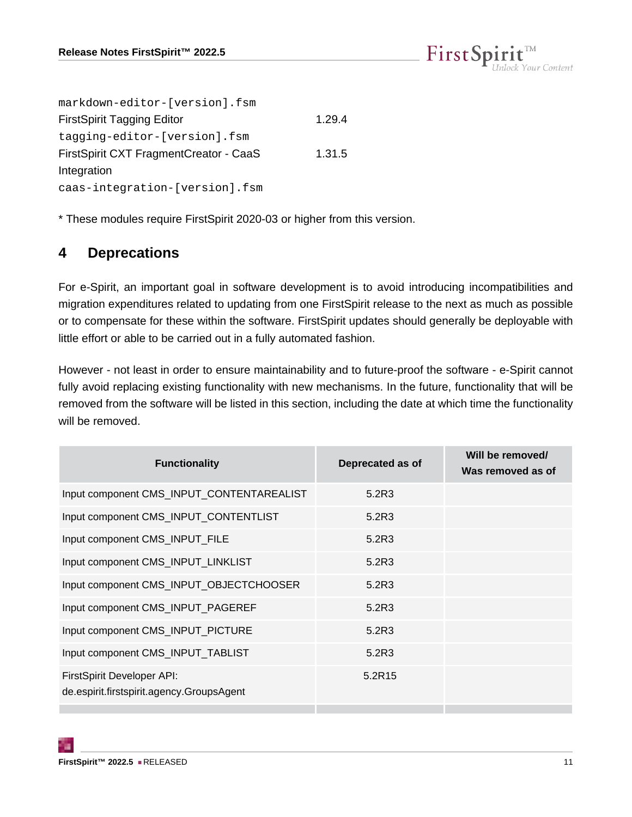

| markdown-editor-[version].fsm          |        |
|----------------------------------------|--------|
| <b>FirstSpirit Tagging Editor</b>      | 1.29.4 |
| tagging-editor-[version].fsm           |        |
| FirstSpirit CXT FragmentCreator - CaaS | 1.31.5 |
| Integration                            |        |
| caas-integration-[version].fsm         |        |

\* These modules require FirstSpirit 2020-03 or higher from this version.

#### <span id="page-10-0"></span>**4 Deprecations**

For e-Spirit, an important goal in software development is to avoid introducing incompatibilities and migration expenditures related to updating from one FirstSpirit release to the next as much as possible or to compensate for these within the software. FirstSpirit updates should generally be deployable with little effort or able to be carried out in a fully automated fashion.

However - not least in order to ensure maintainability and to future-proof the software - e-Spirit cannot fully avoid replacing existing functionality with new mechanisms. In the future, functionality that will be removed from the software will be listed in this section, including the date at which time the functionality will be removed.

| <b>Functionality</b>                                                    | Deprecated as of | Will be removed/<br>Was removed as of |
|-------------------------------------------------------------------------|------------------|---------------------------------------|
| Input component CMS_INPUT_CONTENTAREALIST                               | 5.2R3            |                                       |
| Input component CMS_INPUT_CONTENTLIST                                   | 5.2R3            |                                       |
| Input component CMS_INPUT_FILE                                          | 5.2R3            |                                       |
| Input component CMS_INPUT_LINKLIST                                      | 5.2R3            |                                       |
| Input component CMS_INPUT_OBJECTCHOOSER                                 | 5.2R3            |                                       |
| Input component CMS_INPUT_PAGEREF                                       | 5.2R3            |                                       |
| Input component CMS_INPUT_PICTURE                                       | 5.2R3            |                                       |
| Input component CMS_INPUT_TABLIST                                       | 5.2R3            |                                       |
| FirstSpirit Developer API:<br>de.espirit.firstspirit.agency.GroupsAgent | 5.2R15           |                                       |
|                                                                         |                  |                                       |

94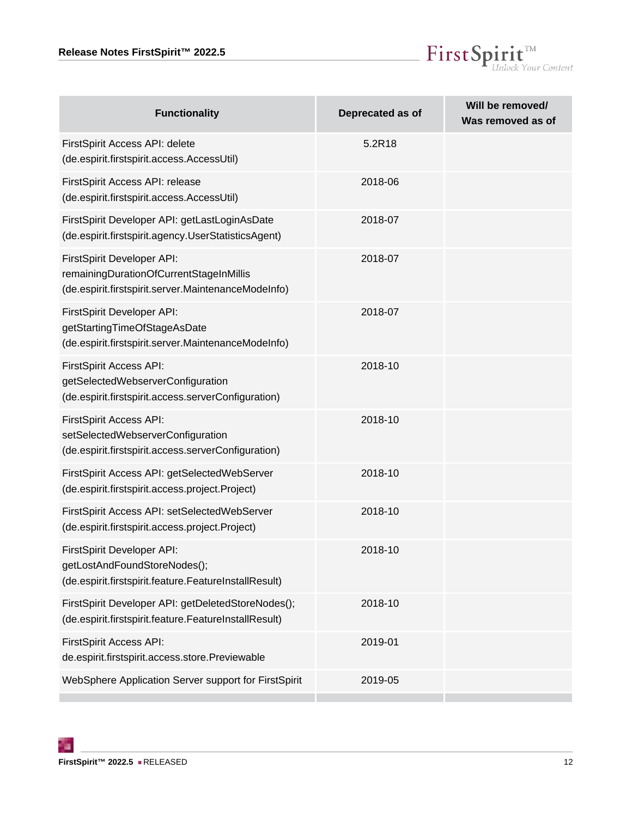

| <b>Functionality</b>                                                                                                         | Deprecated as of | Will be removed/<br>Was removed as of |
|------------------------------------------------------------------------------------------------------------------------------|------------------|---------------------------------------|
| FirstSpirit Access API: delete<br>(de.espirit.firstspirit.access.AccessUtil)                                                 | 5.2R18           |                                       |
| FirstSpirit Access API: release<br>(de.espirit.firstspirit.access.AccessUtil)                                                | 2018-06          |                                       |
| FirstSpirit Developer API: getLastLoginAsDate<br>(de.espirit.firstspirit.agency.UserStatisticsAgent)                         | 2018-07          |                                       |
| FirstSpirit Developer API:<br>remainingDurationOfCurrentStageInMillis<br>(de.espirit.firstspirit.server.MaintenanceModeInfo) | 2018-07          |                                       |
| FirstSpirit Developer API:<br>getStartingTimeOfStageAsDate<br>(de.espirit.firstspirit.server.MaintenanceModeInfo)            | 2018-07          |                                       |
| FirstSpirit Access API:<br>getSelectedWebserverConfiguration<br>(de.espirit.firstspirit.access.serverConfiguration)          | 2018-10          |                                       |
| FirstSpirit Access API:<br>setSelectedWebserverConfiguration<br>(de.espirit.firstspirit.access.serverConfiguration)          | 2018-10          |                                       |
| FirstSpirit Access API: getSelectedWebServer<br>(de.espirit.firstspirit.access.project.Project)                              | 2018-10          |                                       |
| FirstSpirit Access API: setSelectedWebServer<br>(de.espirit.firstspirit.access.project.Project)                              | 2018-10          |                                       |
| FirstSpirit Developer API:<br>getLostAndFoundStoreNodes();<br>(de.espirit.firstspirit.feature.FeatureInstallResult)          | 2018-10          |                                       |
| FirstSpirit Developer API: getDeletedStoreNodes();<br>(de.espirit.firstspirit.feature.FeatureInstallResult)                  | 2018-10          |                                       |
| FirstSpirit Access API:<br>de.espirit.firstspirit.access.store.Previewable                                                   | 2019-01          |                                       |
| WebSphere Application Server support for FirstSpirit                                                                         | 2019-05          |                                       |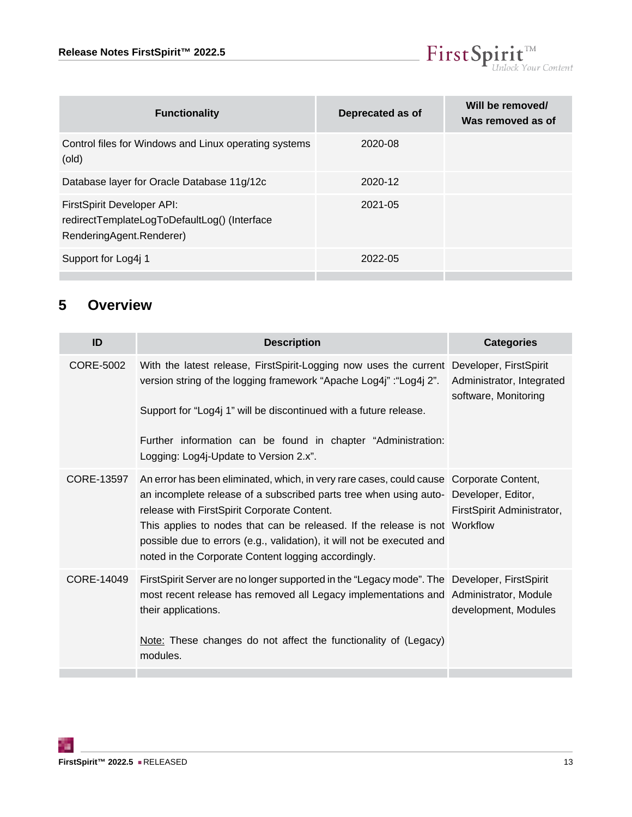

| <b>Functionality</b>                                                                                   | Deprecated as of | Will be removed/<br>Was removed as of |
|--------------------------------------------------------------------------------------------------------|------------------|---------------------------------------|
| Control files for Windows and Linux operating systems<br>(old)                                         | 2020-08          |                                       |
| Database layer for Oracle Database 11g/12c                                                             | 2020-12          |                                       |
| FirstSpirit Developer API:<br>redirectTemplateLogToDefaultLog() (Interface<br>RenderingAgent.Renderer) | $2021 - 05$      |                                       |
| Support for Log4j 1                                                                                    | 2022-05          |                                       |
|                                                                                                        |                  |                                       |

# <span id="page-12-0"></span>**5 Overview**

<span id="page-12-3"></span><span id="page-12-2"></span><span id="page-12-1"></span>

| ID         | <b>Description</b>                                                                                                                                                                                                                                                                                                                                                                                                                            | <b>Categories</b>                                 |
|------------|-----------------------------------------------------------------------------------------------------------------------------------------------------------------------------------------------------------------------------------------------------------------------------------------------------------------------------------------------------------------------------------------------------------------------------------------------|---------------------------------------------------|
| CORE-5002  | With the latest release, FirstSpirit-Logging now uses the current Developer, FirstSpirit<br>version string of the logging framework "Apache Log4j" : "Log4j 2".<br>Support for "Log4j 1" will be discontinued with a future release.<br>Further information can be found in chapter "Administration:<br>Logging: Log4j-Update to Version 2.x".                                                                                                | Administrator, Integrated<br>software, Monitoring |
| CORE-13597 | An error has been eliminated, which, in very rare cases, could cause Corporate Content,<br>an incomplete release of a subscribed parts tree when using auto- Developer, Editor,<br>release with FirstSpirit Corporate Content.<br>This applies to nodes that can be released. If the release is not Workflow<br>possible due to errors (e.g., validation), it will not be executed and<br>noted in the Corporate Content logging accordingly. | FirstSpirit Administrator,                        |
| CORE-14049 | FirstSpirit Server are no longer supported in the "Legacy mode". The Developer, FirstSpirit<br>most recent release has removed all Legacy implementations and Administrator, Module<br>their applications.<br>Note: These changes do not affect the functionality of (Legacy)<br>modules.                                                                                                                                                     | development, Modules                              |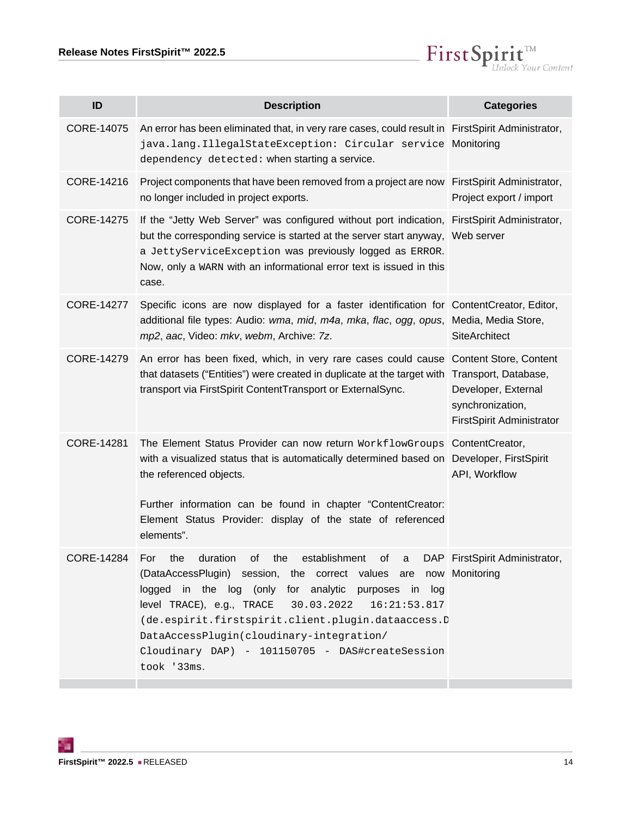$\textbf{FirstSplit}_{\textit{Unlock Your Content}}^{\textit{TM}}$ 

<span id="page-13-6"></span><span id="page-13-5"></span><span id="page-13-4"></span><span id="page-13-3"></span><span id="page-13-2"></span><span id="page-13-1"></span><span id="page-13-0"></span>

| ID                | <b>Description</b>                                                                                                                                                                                                                                                                                                                                                                                                                            | <b>Categories</b>                                                    |
|-------------------|-----------------------------------------------------------------------------------------------------------------------------------------------------------------------------------------------------------------------------------------------------------------------------------------------------------------------------------------------------------------------------------------------------------------------------------------------|----------------------------------------------------------------------|
| CORE-14075        | An error has been eliminated that, in very rare cases, could result in FirstSpirit Administrator,<br>java.lang.IllegalStateException: Circular service Monitoring<br>dependency detected: when starting a service.                                                                                                                                                                                                                            |                                                                      |
| CORE-14216        | Project components that have been removed from a project are now FirstSpirit Administrator,<br>no longer included in project exports.                                                                                                                                                                                                                                                                                                         | Project export / import                                              |
| <b>CORE-14275</b> | If the "Jetty Web Server" was configured without port indication, FirstSpirit Administrator,<br>but the corresponding service is started at the server start anyway, Web server<br>a JettyServiceException was previously logged as ERROR.<br>Now, only a WARN with an informational error text is issued in this<br>case.                                                                                                                    |                                                                      |
| <b>CORE-14277</b> | Specific icons are now displayed for a faster identification for ContentCreator, Editor,<br>additional file types: Audio: wma, mid, m4a, mka, flac, ogg, opus, Media, Media Store,<br>mp2, aac, Video: mkv, webm, Archive: 7z.                                                                                                                                                                                                                | <b>SiteArchitect</b>                                                 |
| CORE-14279        | An error has been fixed, which, in very rare cases could cause Content Store, Content<br>that datasets ("Entities") were created in duplicate at the target with Transport, Database,<br>transport via FirstSpirit ContentTransport or ExternalSync.                                                                                                                                                                                          | Developer, External<br>synchronization,<br>FirstSpirit Administrator |
| CORE-14281        | The Element Status Provider can now return WorkflowGroups ContentCreator,<br>with a visualized status that is automatically determined based on Developer, FirstSpirit<br>the referenced objects.<br>Further information can be found in chapter "ContentCreator:<br>Element Status Provider: display of the state of referenced<br>elements".                                                                                                | API, Workflow                                                        |
|                   | CORE-14284 For the duration of the establishment of a DAP FirstSpirit Administrator,<br>(DataAccessPlugin) session, the correct values are now Monitoring<br>logged in the log (only for analytic purposes in log<br>level TRACE), e.g., TRACE 30.03.2022<br>16:21:53.817<br>(de.espirit.firstspirit.client.plugin.dataaccess.D<br>DataAccessPlugin(cloudinary-integration/<br>Cloudinary DAP) - 101150705 - DAS#createSession<br>took '33ms. |                                                                      |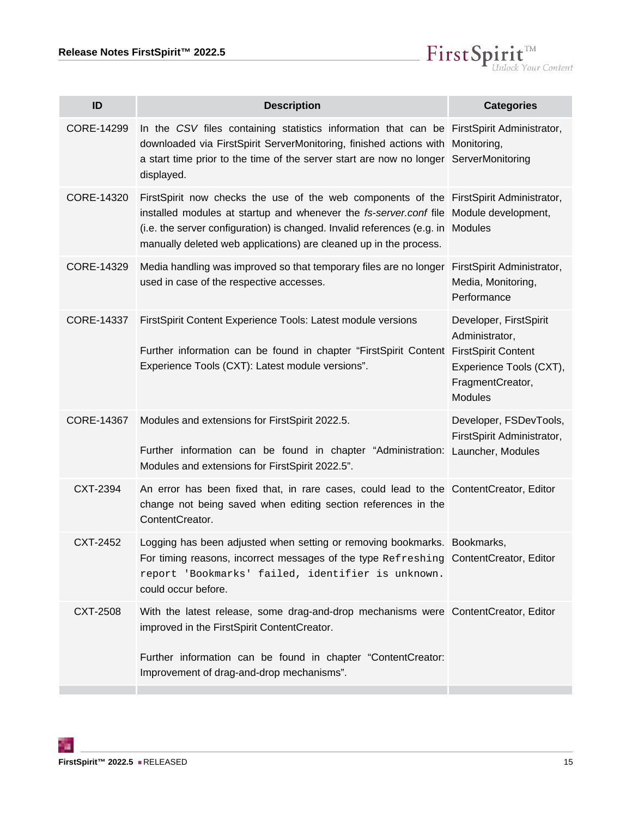

<span id="page-14-7"></span><span id="page-14-6"></span><span id="page-14-5"></span><span id="page-14-4"></span><span id="page-14-3"></span><span id="page-14-2"></span><span id="page-14-1"></span><span id="page-14-0"></span>

| ID                | <b>Description</b>                                                                                                                                                                                                                                                                                                                      | <b>Categories</b>                                                                                                                       |
|-------------------|-----------------------------------------------------------------------------------------------------------------------------------------------------------------------------------------------------------------------------------------------------------------------------------------------------------------------------------------|-----------------------------------------------------------------------------------------------------------------------------------------|
| CORE-14299        | In the CSV files containing statistics information that can be FirstSpirit Administrator,<br>downloaded via FirstSpirit ServerMonitoring, finished actions with Monitoring,<br>a start time prior to the time of the server start are now no longer ServerMonitoring<br>displayed.                                                      |                                                                                                                                         |
| CORE-14320        | FirstSpirit now checks the use of the web components of the FirstSpirit Administrator,<br>installed modules at startup and whenever the fs-server.conf file Module development,<br>(i.e. the server configuration) is changed. Invalid references (e.g. in Modules<br>manually deleted web applications) are cleaned up in the process. |                                                                                                                                         |
| CORE-14329        | Media handling was improved so that temporary files are no longer FirstSpirit Administrator,<br>used in case of the respective accesses.                                                                                                                                                                                                | Media, Monitoring,<br>Performance                                                                                                       |
| CORE-14337        | FirstSpirit Content Experience Tools: Latest module versions<br>Further information can be found in chapter "FirstSpirit Content<br>Experience Tools (CXT): Latest module versions".                                                                                                                                                    | Developer, FirstSpirit<br>Administrator,<br><b>FirstSpirit Content</b><br>Experience Tools (CXT),<br>FragmentCreator,<br><b>Modules</b> |
| <b>CORE-14367</b> | Modules and extensions for FirstSpirit 2022.5.<br>Further information can be found in chapter "Administration: Launcher, Modules<br>Modules and extensions for FirstSpirit 2022.5".                                                                                                                                                     | Developer, FSDevTools,<br>FirstSpirit Administrator,                                                                                    |
| CXT-2394          | An error has been fixed that, in rare cases, could lead to the ContentCreator, Editor<br>change not being saved when editing section references in the<br>ContentCreator.                                                                                                                                                               |                                                                                                                                         |
| CXT-2452          | Logging has been adjusted when setting or removing bookmarks. Bookmarks,<br>For timing reasons, incorrect messages of the type Refreshing ContentCreator, Editor<br>report 'Bookmarks' failed, identifier is unknown.<br>could occur before.                                                                                            |                                                                                                                                         |
| CXT-2508          | With the latest release, some drag-and-drop mechanisms were ContentCreator, Editor<br>improved in the FirstSpirit ContentCreator.<br>Further information can be found in chapter "ContentCreator:<br>Improvement of drag-and-drop mechanisms".                                                                                          |                                                                                                                                         |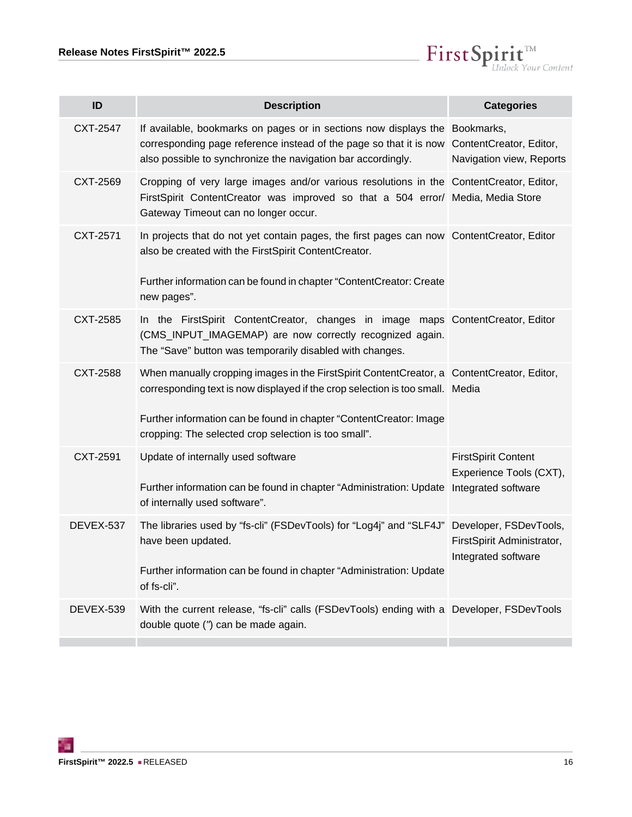$\label{eq: 3.1} First \textbf{Split}_{\textit{Unlock Your Content}}^{\textit{TM}}$ 

<span id="page-15-7"></span><span id="page-15-6"></span><span id="page-15-5"></span><span id="page-15-4"></span><span id="page-15-3"></span><span id="page-15-2"></span><span id="page-15-1"></span><span id="page-15-0"></span>

| ID        | <b>Description</b>                                                                                                                                                                                                                                                                                        | <b>Categories</b>                                     |
|-----------|-----------------------------------------------------------------------------------------------------------------------------------------------------------------------------------------------------------------------------------------------------------------------------------------------------------|-------------------------------------------------------|
| CXT-2547  | If available, bookmarks on pages or in sections now displays the Bookmarks,<br>corresponding page reference instead of the page so that it is now ContentCreator, Editor,<br>also possible to synchronize the navigation bar accordingly.                                                                 | Navigation view, Reports                              |
| CXT-2569  | Cropping of very large images and/or various resolutions in the ContentCreator, Editor,<br>FirstSpirit ContentCreator was improved so that a 504 error/ Media, Media Store<br>Gateway Timeout can no longer occur.                                                                                        |                                                       |
| CXT-2571  | In projects that do not yet contain pages, the first pages can now ContentCreator, Editor<br>also be created with the FirstSpirit ContentCreator.<br>Further information can be found in chapter "ContentCreator: Create<br>new pages".                                                                   |                                                       |
| CXT-2585  | In the FirstSpirit ContentCreator, changes in image maps ContentCreator, Editor<br>(CMS_INPUT_IMAGEMAP) are now correctly recognized again.<br>The "Save" button was temporarily disabled with changes.                                                                                                   |                                                       |
| CXT-2588  | When manually cropping images in the FirstSpirit ContentCreator, a ContentCreator, Editor,<br>corresponding text is now displayed if the crop selection is too small. Media<br>Further information can be found in chapter "ContentCreator: Image<br>cropping: The selected crop selection is too small". |                                                       |
| CXT-2591  | Update of internally used software<br>Further information can be found in chapter "Administration: Update Integrated software<br>of internally used software".                                                                                                                                            | <b>FirstSpirit Content</b><br>Experience Tools (CXT), |
| DEVEX-537 | The libraries used by "fs-cli" (FSDevTools) for "Log4j" and "SLF4J" Developer, FSDevTools,<br>have been updated.<br>Further information can be found in chapter "Administration: Update<br>of fs-cli".                                                                                                    | FirstSpirit Administrator,<br>Integrated software     |
| DEVEX-539 | With the current release, "fs-cli" calls (FSDevTools) ending with a Developer, FSDevTools<br>double quote (") can be made again.                                                                                                                                                                          |                                                       |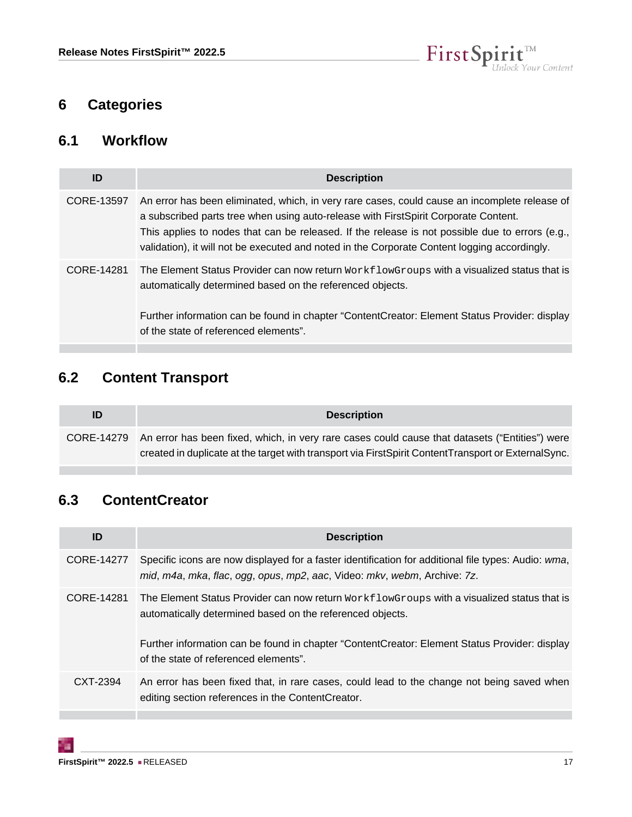

# <span id="page-16-0"></span>**6 Categories**

#### <span id="page-16-1"></span>**6.1 Workflow**

| ID         | <b>Description</b>                                                                                                                                                                                                                                                                                                                                                                      |
|------------|-----------------------------------------------------------------------------------------------------------------------------------------------------------------------------------------------------------------------------------------------------------------------------------------------------------------------------------------------------------------------------------------|
| CORE-13597 | An error has been eliminated, which, in very rare cases, could cause an incomplete release of<br>a subscribed parts tree when using auto-release with FirstSpirit Corporate Content.<br>This applies to nodes that can be released. If the release is not possible due to errors (e.g.,<br>validation), it will not be executed and noted in the Corporate Content logging accordingly. |
| CORE-14281 | The Element Status Provider can now return $W{\text{or}}kf1{\text{or}}w$ croups with a visualized status that is<br>automatically determined based on the referenced objects.<br>Further information can be found in chapter "ContentCreator: Element Status Provider: display<br>of the state of referenced elements".                                                                 |

# <span id="page-16-2"></span>**6.2 Content Transport**

| ID | <b>Description</b>                                                                                        |
|----|-----------------------------------------------------------------------------------------------------------|
|    | CORE-14279 An error has been fixed, which, in very rare cases could cause that datasets ("Entities") were |
|    | created in duplicate at the target with transport via First Spirit Content Transport or External Sync.    |

# <span id="page-16-3"></span>**6.3 ContentCreator**

| ID         | <b>Description</b>                                                                                                                                                              |
|------------|---------------------------------------------------------------------------------------------------------------------------------------------------------------------------------|
| CORE-14277 | Specific icons are now displayed for a faster identification for additional file types: Audio: wma,<br>mid, m4a, mka, flac, ogg, opus, mp2, aac, Video: mkv, webm, Archive: 7z. |
| CORE-14281 | The Element Status Provider can now return WorkflowGroups with a visualized status that is<br>automatically determined based on the referenced objects.                         |
|            | Further information can be found in chapter "ContentCreator: Element Status Provider: display<br>of the state of referenced elements".                                          |
| CXT-2394   | An error has been fixed that, in rare cases, could lead to the change not being saved when<br>editing section references in the ContentCreator.                                 |
|            |                                                                                                                                                                                 |

ъ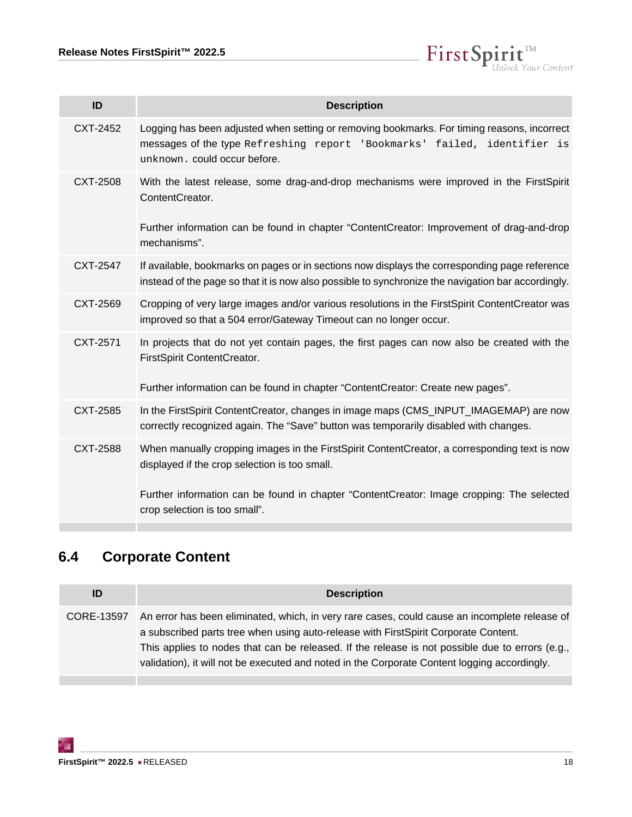$\label{eq: 3.1} First \textbf{Split}_{\textit{Unlock Your Content}}^{\textit{TM}}$ 

| ID       | <b>Description</b>                                                                                                                                                                                      |
|----------|---------------------------------------------------------------------------------------------------------------------------------------------------------------------------------------------------------|
| CXT-2452 | Logging has been adjusted when setting or removing bookmarks. For timing reasons, incorrect<br>messages of the type Refreshing report 'Bookmarks' failed, identifier is<br>unknown. could occur before. |
| CXT-2508 | With the latest release, some drag-and-drop mechanisms were improved in the FirstSpirit<br>ContentCreator.                                                                                              |
|          | Further information can be found in chapter "ContentCreator: Improvement of drag-and-drop<br>mechanisms".                                                                                               |
| CXT-2547 | If available, bookmarks on pages or in sections now displays the corresponding page reference<br>instead of the page so that it is now also possible to synchronize the navigation bar accordingly.     |
| CXT-2569 | Cropping of very large images and/or various resolutions in the FirstSpirit ContentCreator was<br>improved so that a 504 error/Gateway Timeout can no longer occur.                                     |
| CXT-2571 | In projects that do not yet contain pages, the first pages can now also be created with the<br>FirstSpirit ContentCreator.                                                                              |
|          | Further information can be found in chapter "ContentCreator: Create new pages".                                                                                                                         |
| CXT-2585 | In the FirstSpirit ContentCreator, changes in image maps (CMS_INPUT_IMAGEMAP) are now<br>correctly recognized again. The "Save" button was temporarily disabled with changes.                           |
| CXT-2588 | When manually cropping images in the FirstSpirit ContentCreator, a corresponding text is now<br>displayed if the crop selection is too small.                                                           |
|          | Further information can be found in chapter "ContentCreator: Image cropping: The selected<br>crop selection is too small".                                                                              |

# <span id="page-17-0"></span>**6.4 Corporate Content**

| ID         | <b>Description</b>                                                                                                                                                                                                                                                                                                                                                                      |
|------------|-----------------------------------------------------------------------------------------------------------------------------------------------------------------------------------------------------------------------------------------------------------------------------------------------------------------------------------------------------------------------------------------|
| CORE-13597 | An error has been eliminated, which, in very rare cases, could cause an incomplete release of<br>a subscribed parts tree when using auto-release with FirstSpirit Corporate Content.<br>This applies to nodes that can be released. If the release is not possible due to errors (e.g.,<br>validation), it will not be executed and noted in the Corporate Content logging accordingly. |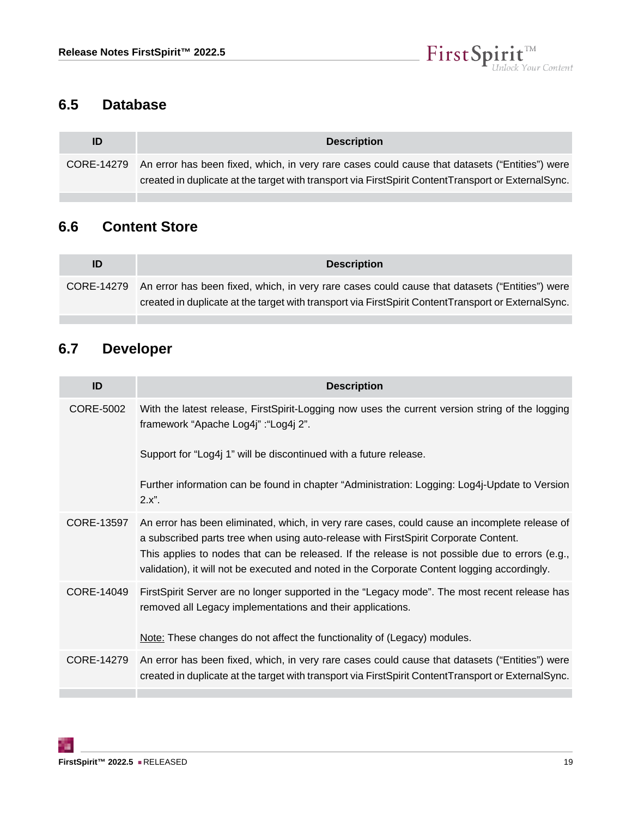

#### <span id="page-18-0"></span>**6.5 Database**

п

| ID         | <b>Description</b>                                                                                  |
|------------|-----------------------------------------------------------------------------------------------------|
| CORE-14279 | An error has been fixed, which, in very rare cases could cause that datasets ("Entities") were      |
|            | created in duplicate at the target with transport via FirstSpirit ContentTransport or ExternalSync. |

#### <span id="page-18-1"></span>**6.6 Content Store**

| ID | <b>Description</b>                                                                                        |
|----|-----------------------------------------------------------------------------------------------------------|
|    | CORE-14279 An error has been fixed, which, in very rare cases could cause that datasets ("Entities") were |
|    | created in duplicate at the target with transport via First Spirit Content Transport or External Sync.    |

# <span id="page-18-2"></span>**6.7 Developer**

| ID         | <b>Description</b>                                                                                                                                                                                                                                                                                                                                                                      |
|------------|-----------------------------------------------------------------------------------------------------------------------------------------------------------------------------------------------------------------------------------------------------------------------------------------------------------------------------------------------------------------------------------------|
| CORE-5002  | With the latest release, FirstSpirit-Logging now uses the current version string of the logging<br>framework "Apache Log4j" : "Log4j 2".                                                                                                                                                                                                                                                |
|            | Support for "Log4j 1" will be discontinued with a future release.                                                                                                                                                                                                                                                                                                                       |
|            | Further information can be found in chapter "Administration: Logging: Log4j-Update to Version<br>2.x".                                                                                                                                                                                                                                                                                  |
| CORE-13597 | An error has been eliminated, which, in very rare cases, could cause an incomplete release of<br>a subscribed parts tree when using auto-release with FirstSpirit Corporate Content.<br>This applies to nodes that can be released. If the release is not possible due to errors (e.g.,<br>validation), it will not be executed and noted in the Corporate Content logging accordingly. |
| CORE-14049 | FirstSpirit Server are no longer supported in the "Legacy mode". The most recent release has<br>removed all Legacy implementations and their applications.                                                                                                                                                                                                                              |
|            | Note: These changes do not affect the functionality of (Legacy) modules.                                                                                                                                                                                                                                                                                                                |
| CORE-14279 | An error has been fixed, which, in very rare cases could cause that datasets ("Entities") were<br>created in duplicate at the target with transport via FirstSpirit ContentTransport or ExternalSync.                                                                                                                                                                                   |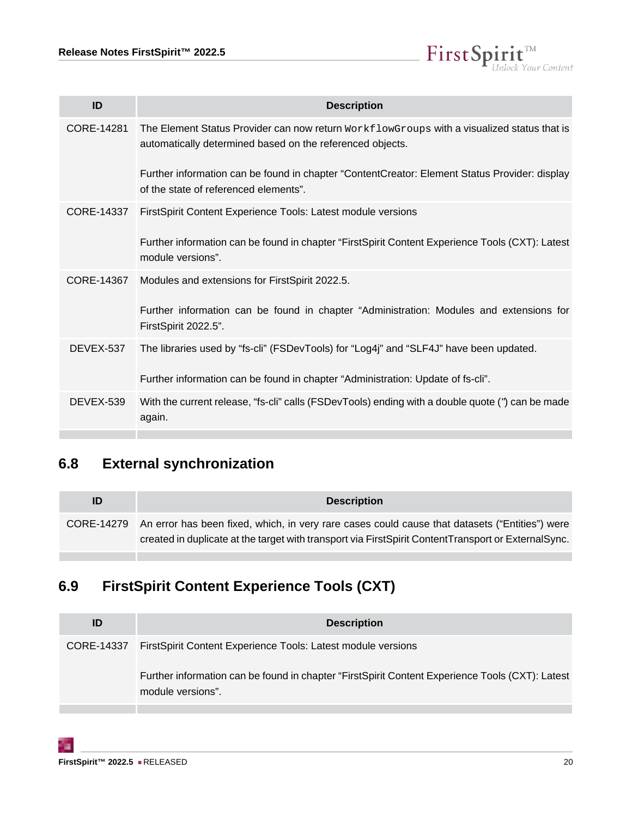

| ID         | <b>Description</b>                                                                                                                                        |
|------------|-----------------------------------------------------------------------------------------------------------------------------------------------------------|
| CORE-14281 | The Element Status Provider can now return $WorkflowGroups$ with a visualized status that is<br>automatically determined based on the referenced objects. |
|            | Further information can be found in chapter "ContentCreator: Element Status Provider: display<br>of the state of referenced elements".                    |
| CORE-14337 | FirstSpirit Content Experience Tools: Latest module versions                                                                                              |
|            | Further information can be found in chapter "FirstSpirit Content Experience Tools (CXT): Latest<br>module versions".                                      |
| CORE-14367 | Modules and extensions for FirstSpirit 2022.5.                                                                                                            |
|            | Further information can be found in chapter "Administration: Modules and extensions for<br>FirstSpirit 2022.5".                                           |
| DEVEX-537  | The libraries used by "fs-cli" (FSDevTools) for "Log4j" and "SLF4J" have been updated.                                                                    |
|            | Further information can be found in chapter "Administration: Update of fs-cli".                                                                           |
| DEVEX-539  | With the current release, "fs-cli" calls (FSDevTools) ending with a double quote (") can be made<br>again.                                                |

# <span id="page-19-0"></span>**6.8 External synchronization**

| ID | <b>Description</b>                                                                                                                                                                                                  |
|----|---------------------------------------------------------------------------------------------------------------------------------------------------------------------------------------------------------------------|
|    | CORE-14279 An error has been fixed, which, in very rare cases could cause that datasets ("Entities") were<br>created in duplicate at the target with transport via First Spirit Content Transport or External Sync. |
|    |                                                                                                                                                                                                                     |

# <span id="page-19-1"></span>**6.9 FirstSpirit Content Experience Tools (CXT)**

| ID         | <b>Description</b>                                                                                                   |
|------------|----------------------------------------------------------------------------------------------------------------------|
| CORE-14337 | First Spirit Content Experience Tools: Latest module versions                                                        |
|            | Further information can be found in chapter "FirstSpirit Content Experience Tools (CXT): Latest<br>module versions". |
|            |                                                                                                                      |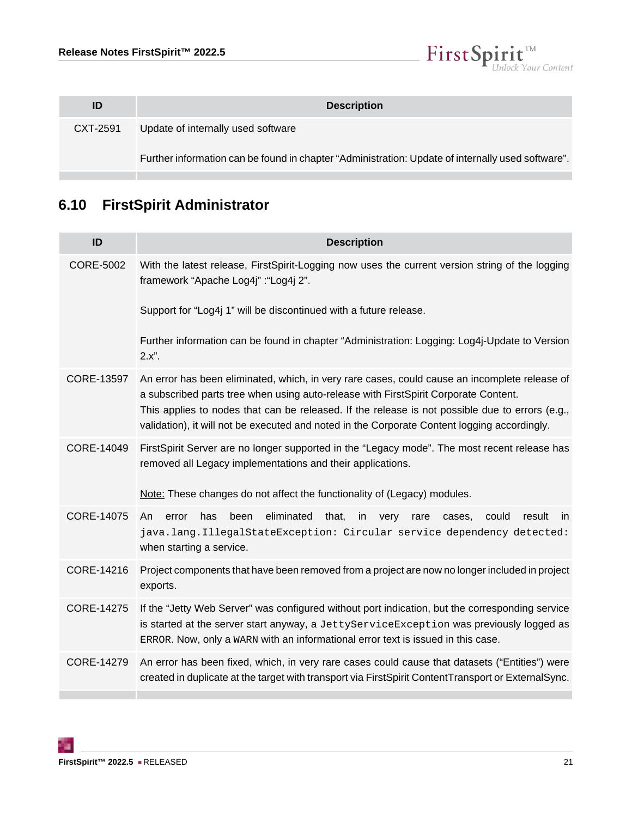

| <b>Description</b>                                                                                |
|---------------------------------------------------------------------------------------------------|
| Update of internally used software                                                                |
| Further information can be found in chapter "Administration: Update of internally used software". |
|                                                                                                   |

# <span id="page-20-0"></span>**6.10 FirstSpirit Administrator**

| ID                | <b>Description</b>                                                                                                                                                                                                                                                                                                                                                                      |
|-------------------|-----------------------------------------------------------------------------------------------------------------------------------------------------------------------------------------------------------------------------------------------------------------------------------------------------------------------------------------------------------------------------------------|
| <b>CORE-5002</b>  | With the latest release, FirstSpirit-Logging now uses the current version string of the logging<br>framework "Apache Log4j" : "Log4j 2".                                                                                                                                                                                                                                                |
|                   | Support for "Log4j 1" will be discontinued with a future release.                                                                                                                                                                                                                                                                                                                       |
|                   | Further information can be found in chapter "Administration: Logging: Log4j-Update to Version<br>2.x".                                                                                                                                                                                                                                                                                  |
| CORE-13597        | An error has been eliminated, which, in very rare cases, could cause an incomplete release of<br>a subscribed parts tree when using auto-release with FirstSpirit Corporate Content.<br>This applies to nodes that can be released. If the release is not possible due to errors (e.g.,<br>validation), it will not be executed and noted in the Corporate Content logging accordingly. |
| CORE-14049        | FirstSpirit Server are no longer supported in the "Legacy mode". The most recent release has<br>removed all Legacy implementations and their applications.<br>Note: These changes do not affect the functionality of (Legacy) modules.                                                                                                                                                  |
| <b>CORE-14075</b> | eliminated<br>has<br>been<br>that,<br>in<br>could<br>result<br>An.<br>error<br>very<br>rare<br>cases.<br>-in                                                                                                                                                                                                                                                                            |
|                   | java.lang.IllegalStateException: Circular service dependency detected:<br>when starting a service.                                                                                                                                                                                                                                                                                      |
| CORE-14216        | Project components that have been removed from a project are now no longer included in project<br>exports.                                                                                                                                                                                                                                                                              |
| <b>CORE-14275</b> | If the "Jetty Web Server" was configured without port indication, but the corresponding service<br>is started at the server start anyway, a JettyServiceException was previously logged as<br>ERROR. Now, only a WARN with an informational error text is issued in this case.                                                                                                          |
| CORE-14279        | An error has been fixed, which, in very rare cases could cause that datasets ("Entities") were<br>created in duplicate at the target with transport via FirstSpirit ContentTransport or ExternalSync.                                                                                                                                                                                   |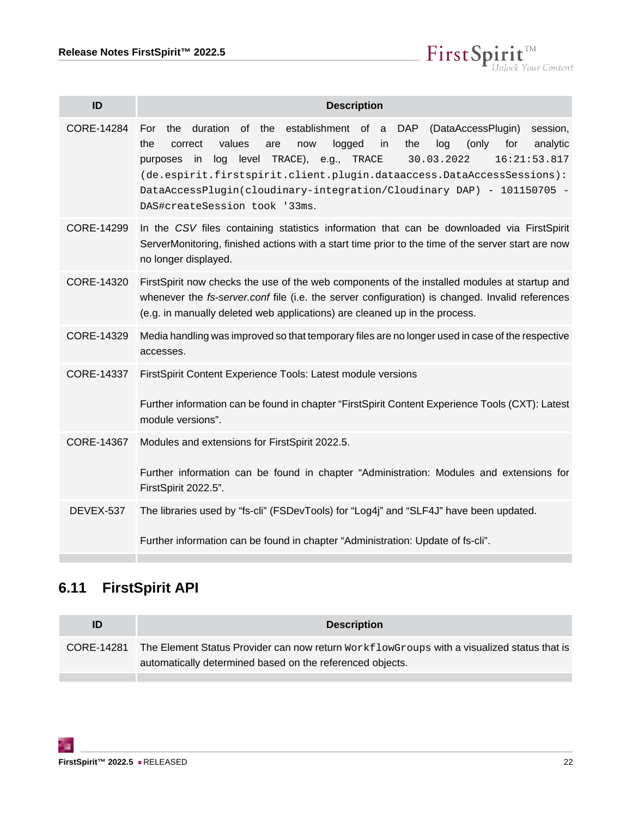$\textbf{FirstSplit}_{\textit{Unlock Your Content}}^{\textit{TM}}$ 

| ID         | <b>Description</b>                                                                                                                                                                                                                                                                                                                                                                                                                                                        |
|------------|---------------------------------------------------------------------------------------------------------------------------------------------------------------------------------------------------------------------------------------------------------------------------------------------------------------------------------------------------------------------------------------------------------------------------------------------------------------------------|
| CORE-14284 | duration of the establishment of a DAP<br>(DataAccessPlugin)<br>session,<br>For<br>the<br>the<br>values<br>logged<br>the<br>log<br>(only)<br>for<br>analytic<br>correct<br>now<br>in.<br>are<br>level<br>TRACE), e.g.,<br>30.03.2022<br>log<br>TRACE<br>16:21:53.817<br>purposes<br>in<br>(de.espirit.firstspirit.client.plugin.dataaccess.DataAccessSessions):<br>DataAccessPlugin(cloudinary-integration/Cloudinary DAP) - 101150705 -<br>DAS#createSession took '33ms. |
| CORE-14299 | In the CSV files containing statistics information that can be downloaded via FirstSpirit<br>ServerMonitoring, finished actions with a start time prior to the time of the server start are now<br>no longer displayed.                                                                                                                                                                                                                                                   |
| CORE-14320 | FirstSpirit now checks the use of the web components of the installed modules at startup and<br>whenever the fs-server.conf file (i.e. the server configuration) is changed. Invalid references<br>(e.g. in manually deleted web applications) are cleaned up in the process.                                                                                                                                                                                             |
| CORE-14329 | Media handling was improved so that temporary files are no longer used in case of the respective<br>accesses.                                                                                                                                                                                                                                                                                                                                                             |
| CORE-14337 | FirstSpirit Content Experience Tools: Latest module versions<br>Further information can be found in chapter "FirstSpirit Content Experience Tools (CXT): Latest<br>module versions".                                                                                                                                                                                                                                                                                      |
| CORE-14367 | Modules and extensions for FirstSpirit 2022.5.<br>Further information can be found in chapter "Administration: Modules and extensions for<br>FirstSpirit 2022.5".                                                                                                                                                                                                                                                                                                         |
| DEVEX-537  | The libraries used by "fs-cli" (FSDevTools) for "Log4j" and "SLF4J" have been updated.<br>Further information can be found in chapter "Administration: Update of fs-cli".                                                                                                                                                                                                                                                                                                 |

# <span id="page-21-0"></span>**6.11 FirstSpirit API**

| ID         | <b>Description</b>                                                                                                                                      |
|------------|---------------------------------------------------------------------------------------------------------------------------------------------------------|
| CORE-14281 | The Element Status Provider can now return WorkflowGroups with a visualized status that is<br>automatically determined based on the referenced objects. |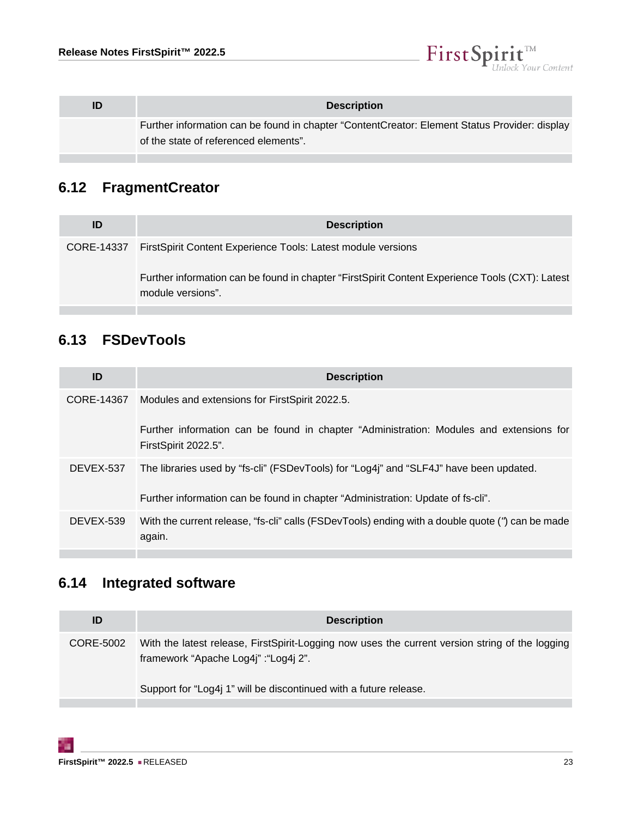

| <b>Description</b>                                                                                                                     |
|----------------------------------------------------------------------------------------------------------------------------------------|
| Further information can be found in chapter "ContentCreator: Element Status Provider: display<br>of the state of referenced elements". |

# <span id="page-22-0"></span>**6.12 FragmentCreator**

| ID         | <b>Description</b>                                                                                                   |
|------------|----------------------------------------------------------------------------------------------------------------------|
| CORE-14337 | First Spirit Content Experience Tools: Latest module versions                                                        |
|            | Further information can be found in chapter "FirstSpirit Content Experience Tools (CXT): Latest<br>module versions". |

# <span id="page-22-1"></span>**6.13 FSDevTools**

| ID         | <b>Description</b>                                                                                              |
|------------|-----------------------------------------------------------------------------------------------------------------|
| CORE-14367 | Modules and extensions for FirstSpirit 2022.5.                                                                  |
|            | Further information can be found in chapter "Administration: Modules and extensions for<br>FirstSpirit 2022.5". |
| DEVEX-537  | The libraries used by "fs-cli" (FSDevTools) for "Log4j" and "SLF4J" have been updated.                          |
|            | Further information can be found in chapter "Administration: Update of fs-cli".                                 |
| DEVEX-539  | With the current release, "fs-cli" calls (FSDevTools) ending with a double quote (") can be made<br>again.      |
|            |                                                                                                                 |

# <span id="page-22-2"></span>**6.14 Integrated software**

| ID        | <b>Description</b>                                                                                                                       |
|-----------|------------------------------------------------------------------------------------------------------------------------------------------|
| CORE-5002 | With the latest release, FirstSpirit-Logging now uses the current version string of the logging<br>framework "Apache Log4j" : "Log4j 2". |
|           | Support for "Log4j 1" will be discontinued with a future release.                                                                        |
|           |                                                                                                                                          |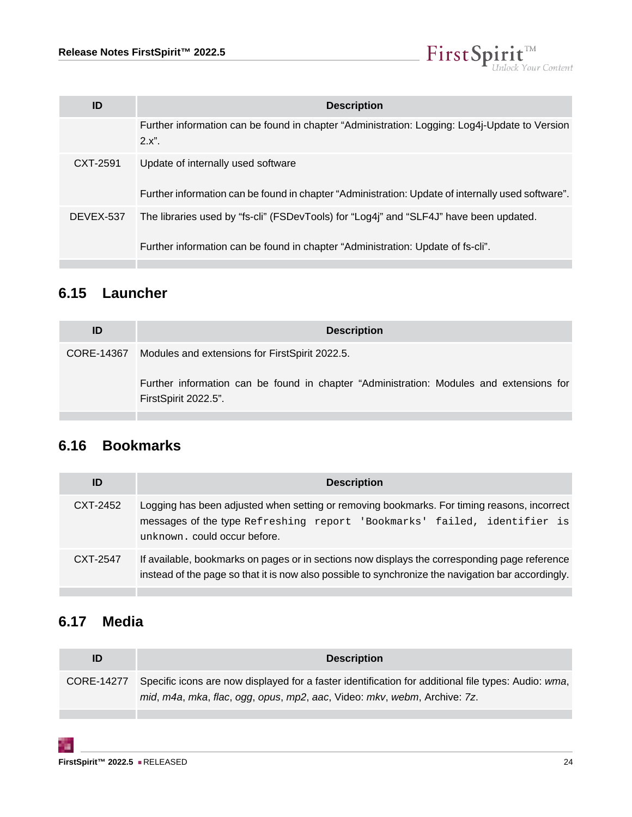

| ID        | <b>Description</b>                                                                                         |
|-----------|------------------------------------------------------------------------------------------------------------|
|           | Further information can be found in chapter "Administration: Logging: Log4j-Update to Version<br>$2.x''$ . |
| CXT-2591  | Update of internally used software                                                                         |
|           | Further information can be found in chapter "Administration: Update of internally used software".          |
| DEVEX-537 | The libraries used by "fs-cli" (FSDevTools) for "Log4j" and "SLF4J" have been updated.                     |
|           | Further information can be found in chapter "Administration: Update of fs-cli".                            |

# <span id="page-23-0"></span>**6.15 Launcher**

| <b>Description</b>                                                                                              |
|-----------------------------------------------------------------------------------------------------------------|
| CORE-14367 Modules and extensions for FirstSpirit 2022.5.                                                       |
| Further information can be found in chapter "Administration: Modules and extensions for<br>FirstSpirit 2022.5". |
|                                                                                                                 |

# <span id="page-23-1"></span>**6.16 Bookmarks**

| ID       | <b>Description</b>                                                                                                                                                                                      |
|----------|---------------------------------------------------------------------------------------------------------------------------------------------------------------------------------------------------------|
| CXT-2452 | Logging has been adjusted when setting or removing bookmarks. For timing reasons, incorrect<br>messages of the type Refreshing report 'Bookmarks' failed, identifier is<br>unknown. could occur before. |
| CXT-2547 | If available, bookmarks on pages or in sections now displays the corresponding page reference<br>instead of the page so that it is now also possible to synchronize the navigation bar accordingly.     |

# <span id="page-23-2"></span>**6.17 Media**

**Contract Contract Contract** 

т

| ID | <b>Description</b>                                                                                                                                                                         |
|----|--------------------------------------------------------------------------------------------------------------------------------------------------------------------------------------------|
|    | CORE-14277 Specific icons are now displayed for a faster identification for additional file types: Audio: wma,<br>mid, m4a, mka, flac, ogg, opus, mp2, aac, Video: mkv, webm, Archive: 7z. |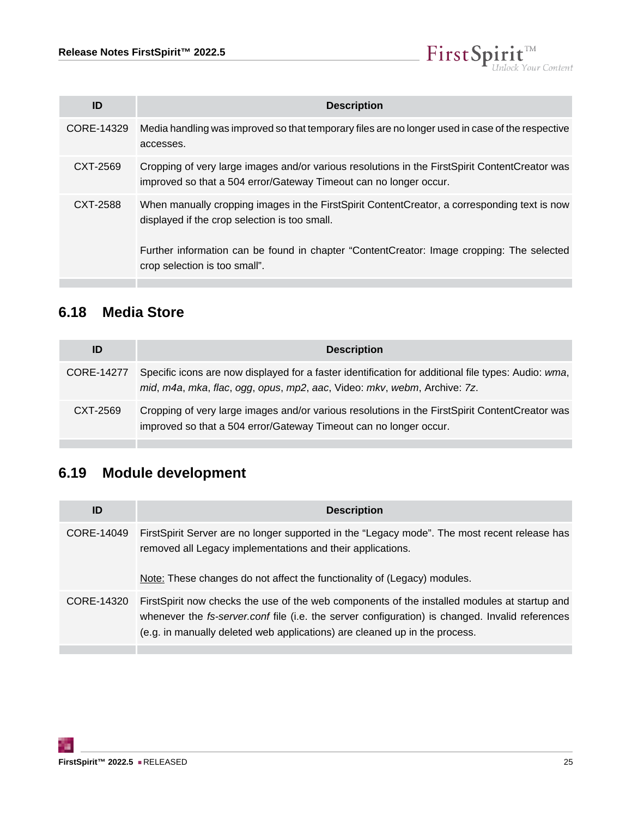

| ID         | <b>Description</b>                                                                                                                                                                                                                                                          |
|------------|-----------------------------------------------------------------------------------------------------------------------------------------------------------------------------------------------------------------------------------------------------------------------------|
| CORE-14329 | Media handling was improved so that temporary files are no longer used in case of the respective<br>accesses.                                                                                                                                                               |
| CXT-2569   | Cropping of very large images and/or various resolutions in the First Spirit Content Creator was<br>improved so that a 504 error/Gateway Timeout can no longer occur.                                                                                                       |
| CXT-2588   | When manually cropping images in the FirstSpirit ContentCreator, a corresponding text is now<br>displayed if the crop selection is too small.<br>Further information can be found in chapter "ContentCreator: Image cropping: The selected<br>crop selection is too small". |

# <span id="page-24-0"></span>**6.18 Media Store**

| ID         | <b>Description</b>                                                                                                                                                              |
|------------|---------------------------------------------------------------------------------------------------------------------------------------------------------------------------------|
| CORE-14277 | Specific icons are now displayed for a faster identification for additional file types: Audio: wma,<br>mid, m4a, mka, flac, ogg, opus, mp2, aac, Video: mkv, webm, Archive: 7z. |
| CXT-2569   | Cropping of very large images and/or various resolutions in the FirstSpirit ContentCreator was<br>improved so that a 504 error/Gateway Timeout can no longer occur.             |

# <span id="page-24-1"></span>**6.19 Module development**

| ID         | <b>Description</b>                                                                                                                                                                                                                                                                    |
|------------|---------------------------------------------------------------------------------------------------------------------------------------------------------------------------------------------------------------------------------------------------------------------------------------|
| CORE-14049 | First Spirit Server are no longer supported in the "Legacy mode". The most recent release has<br>removed all Legacy implementations and their applications.<br>Note: These changes do not affect the functionality of (Legacy) modules.                                               |
| CORE-14320 | First Spirit now checks the use of the web components of the installed modules at startup and<br>whenever the <i>fs-server.conf</i> file (i.e. the server configuration) is changed. Invalid references<br>(e.g. in manually deleted web applications) are cleaned up in the process. |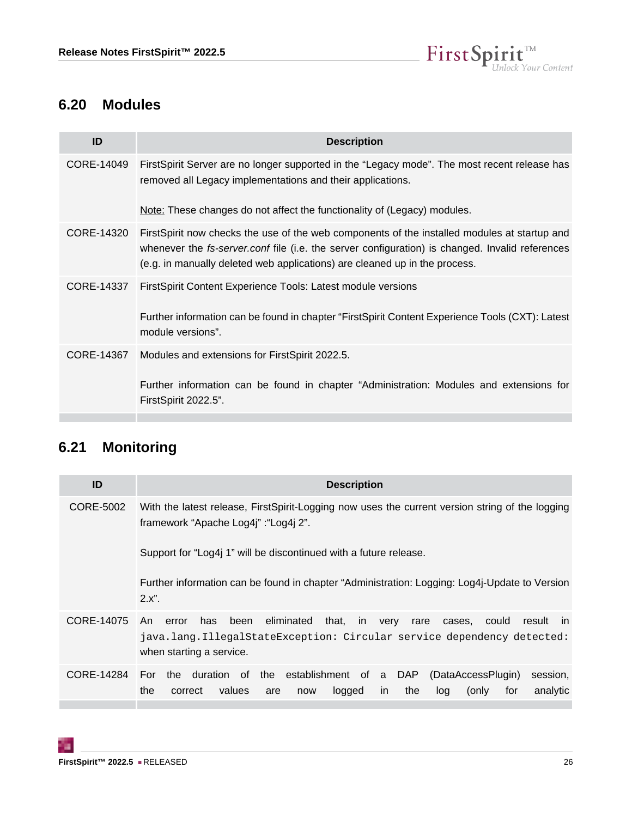

#### <span id="page-25-0"></span>**6.20 Modules**

| <b>Description</b>                                                                                                                                                                                                                                                                   |
|--------------------------------------------------------------------------------------------------------------------------------------------------------------------------------------------------------------------------------------------------------------------------------------|
| FirstSpirit Server are no longer supported in the "Legacy mode". The most recent release has<br>removed all Legacy implementations and their applications.                                                                                                                           |
| Note: These changes do not affect the functionality of (Legacy) modules.                                                                                                                                                                                                             |
| FirstSpirit now checks the use of the web components of the installed modules at startup and<br>whenever the <i>fs-server.conf</i> file (i.e. the server configuration) is changed. Invalid references<br>(e.g. in manually deleted web applications) are cleaned up in the process. |
| First Spirit Content Experience Tools: Latest module versions<br>Further information can be found in chapter "FirstSpirit Content Experience Tools (CXT): Latest<br>module versions".                                                                                                |
| Modules and extensions for FirstSpirit 2022.5.<br>Further information can be found in chapter "Administration: Modules and extensions for<br>FirstSpirit 2022.5".                                                                                                                    |
|                                                                                                                                                                                                                                                                                      |

# <span id="page-25-1"></span>**6.21 Monitoring**

| ID         | <b>Description</b>                                                                                                                                                                                                 |
|------------|--------------------------------------------------------------------------------------------------------------------------------------------------------------------------------------------------------------------|
| CORE-5002  | With the latest release, FirstSpirit-Logging now uses the current version string of the logging<br>framework "Apache Log4j" : "Log4j 2".                                                                           |
|            | Support for "Log4j 1" will be discontinued with a future release.                                                                                                                                                  |
|            | Further information can be found in chapter "Administration: Logging: Log4j-Update to Version<br>2.x".                                                                                                             |
| CORE-14075 | eliminated<br>has<br>been<br>that,<br>in<br>An.<br>could<br>result<br>error<br>very<br>rare<br>cases.<br>in.<br>java.lang.IllegalStateException: Circular service dependency detected:<br>when starting a service. |
| CORE-14284 | the duration of the establishment of a DAP<br>For<br>(DataAccessPlugin)<br>session,<br>analytic<br>the<br>values<br>the<br>for<br>logged<br>correct<br>in.<br>log<br>(only<br>are<br>now                           |

51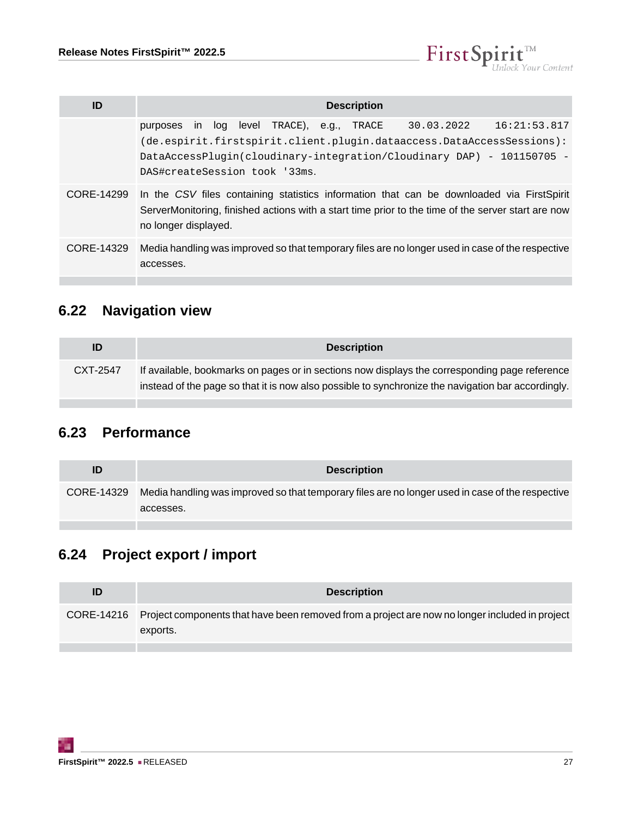

| ID         | <b>Description</b>                                                                                                                                                                                                                                                                     |
|------------|----------------------------------------------------------------------------------------------------------------------------------------------------------------------------------------------------------------------------------------------------------------------------------------|
|            | level<br>TRACE).<br>30.03.2022<br>16:21:53.817<br>log<br>e.g.,<br>TRACE<br>purposes<br>$\mathsf{I}$<br>(de.espirit.firstspirit.client.plugin.dataaccess.DataAccessSessions):<br>DataAccessPlugin(cloudinary-integration/Cloudinary DAP) - 101150705 -<br>DAS#createSession took '33ms. |
| CORE-14299 | In the CSV files containing statistics information that can be downloaded via FirstSpirit<br>ServerMonitoring, finished actions with a start time prior to the time of the server start are now<br>no longer displayed.                                                                |
| CORE-14329 | Media handling was improved so that temporary files are no longer used in case of the respective<br>accesses.                                                                                                                                                                          |
|            |                                                                                                                                                                                                                                                                                        |

# <span id="page-26-0"></span>**6.22 Navigation view**

| ID       | <b>Description</b>                                                                                                                                                                                  |
|----------|-----------------------------------------------------------------------------------------------------------------------------------------------------------------------------------------------------|
| CXT-2547 | If available, bookmarks on pages or in sections now displays the corresponding page reference<br>instead of the page so that it is now also possible to synchronize the navigation bar accordingly. |

# <span id="page-26-1"></span>**6.23 Performance**

| ID | <b>Description</b>                                                                                                       |
|----|--------------------------------------------------------------------------------------------------------------------------|
|    | CORE-14329 Media handling was improved so that temporary files are no longer used in case of the respective<br>accesses. |

# <span id="page-26-2"></span>**6.24 Project export / import**

| CORE-14216 Project components that have been removed from a project are now no longer included in project<br>exports. |
|-----------------------------------------------------------------------------------------------------------------------|
|                                                                                                                       |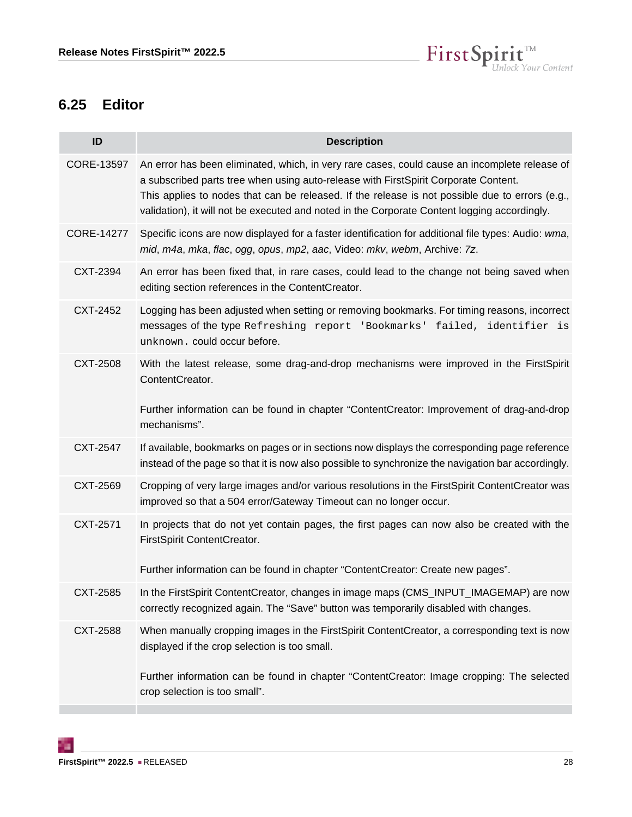

#### <span id="page-27-0"></span>**6.25 Editor**

| ID                | <b>Description</b>                                                                                                                                                                                                                                                                                                                                                                      |
|-------------------|-----------------------------------------------------------------------------------------------------------------------------------------------------------------------------------------------------------------------------------------------------------------------------------------------------------------------------------------------------------------------------------------|
| CORE-13597        | An error has been eliminated, which, in very rare cases, could cause an incomplete release of<br>a subscribed parts tree when using auto-release with FirstSpirit Corporate Content.<br>This applies to nodes that can be released. If the release is not possible due to errors (e.g.,<br>validation), it will not be executed and noted in the Corporate Content logging accordingly. |
| <b>CORE-14277</b> | Specific icons are now displayed for a faster identification for additional file types: Audio: wma,<br>mid, m4a, mka, flac, ogg, opus, mp2, aac, Video: mkv, webm, Archive: 7z.                                                                                                                                                                                                         |
| CXT-2394          | An error has been fixed that, in rare cases, could lead to the change not being saved when<br>editing section references in the ContentCreator.                                                                                                                                                                                                                                         |
| CXT-2452          | Logging has been adjusted when setting or removing bookmarks. For timing reasons, incorrect<br>messages of the type Refreshing report 'Bookmarks' failed, identifier is<br>unknown. could occur before.                                                                                                                                                                                 |
| <b>CXT-2508</b>   | With the latest release, some drag-and-drop mechanisms were improved in the FirstSpirit<br>ContentCreator.                                                                                                                                                                                                                                                                              |
|                   | Further information can be found in chapter "ContentCreator: Improvement of drag-and-drop<br>mechanisms".                                                                                                                                                                                                                                                                               |
| CXT-2547          | If available, bookmarks on pages or in sections now displays the corresponding page reference<br>instead of the page so that it is now also possible to synchronize the navigation bar accordingly.                                                                                                                                                                                     |
| CXT-2569          | Cropping of very large images and/or various resolutions in the FirstSpirit ContentCreator was<br>improved so that a 504 error/Gateway Timeout can no longer occur.                                                                                                                                                                                                                     |
| CXT-2571          | In projects that do not yet contain pages, the first pages can now also be created with the<br>FirstSpirit ContentCreator.<br>Further information can be found in chapter "ContentCreator: Create new pages".                                                                                                                                                                           |
| CXT-2585          | In the FirstSpirit ContentCreator, changes in image maps (CMS_INPUT_IMAGEMAP) are now<br>correctly recognized again. The "Save" button was temporarily disabled with changes.                                                                                                                                                                                                           |
| CXT-2588          | When manually cropping images in the FirstSpirit ContentCreator, a corresponding text is now<br>displayed if the crop selection is too small.                                                                                                                                                                                                                                           |
|                   | Further information can be found in chapter "ContentCreator: Image cropping: The selected<br>crop selection is too small".                                                                                                                                                                                                                                                              |

τ.